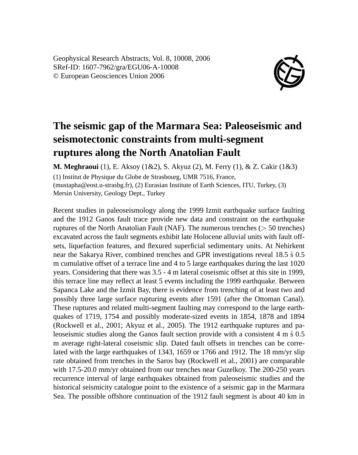Geophysical Research Abstracts, Vol. 8, 10008, 2006 SRef-ID: 1607-7962/gra/EGU06-A-10008 © European Geosciences Union 2006



## **The seismic gap of the Marmara Sea: Paleoseismic and seismotectonic constraints from multi-segment ruptures along the North Anatolian Fault**

**M. Meghraoui** (1), E. Aksoy (1&2), S. Akyuz (2), M. Ferry (1), & Z. Cakir (1&3)

(1) Institut de Physique du Globe de Strasbourg, UMR 7516, France, (mustapha@eost.u-strasbg.fr), (2) Eurasian Institute of Earth Sciences, ITU, Turkey, (3) Mersin University, Geology Dept., Turkey

Recent studies in paleoseismology along the 1999 Izmit earthquake surface faulting and the 1912 Ganos fault trace provide new data and constraint on the earthquake ruptures of the North Anatolian Fault (NAF). The numerous trenches (> 50 trenches) excavated across the fault segments exhibit late Holocene alluvial units with fault offsets, liquefaction features, and flexured superficial sedimentary units. At Nehirkent near the Sakarya River, combined trenches and GPR investigations reveal 18.5  $\pm$  0.5 m cumulative offset of a terrace line and 4 to 5 large earthquakes during the last 1020 years. Considering that there was 3.5 - 4 m lateral coseismic offset at this site in 1999, this terrace line may reflect at least 5 events including the 1999 earthquake. Between Sapanca Lake and the Izmit Bay, there is evidence from trenching of at least two and possibly three large surface rupturing events after 1591 (after the Ottoman Canal). These ruptures and related multi-segment faulting may correspond to the large earthquakes of 1719, 1754 and possibly moderate-sized events in 1854, 1878 and 1894 (Rockwell et al., 2001; Akyuz et al., 2005). The 1912 earthquake ruptures and paleoseismic studies along the Ganos fault section provide with a consistent  $4 \text{ m } 6.05$ m average right-lateral coseismic slip. Dated fault offsets in trenches can be correlated with the large earthquakes of 1343, 1659 or 1766 and 1912. The 18 mm/yr slip rate obtained from trenches in the Saros bay (Rockwell et al., 2001) are comparable with 17.5-20.0 mm/yr obtained from our trenches near Guzelkoy. The 200-250 years recurrence interval of large earthquakes obtained from paleoseismic studies and the historical seismicity catalogue point to the existence of a seismic gap in the Marmara Sea. The possible offshore continuation of the 1912 fault segment is about 40 km in